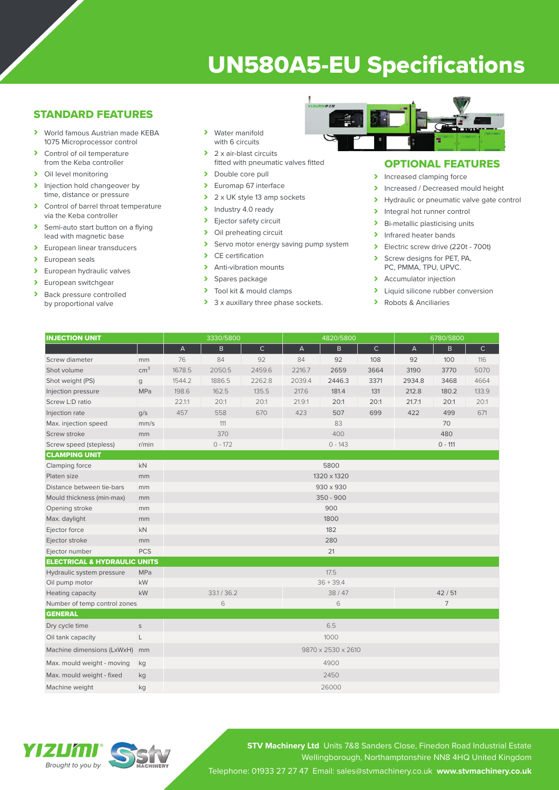# UN580A5-EU Specifications

### STANDARD FEATURES

- › World famous Austrian made KEBA 1075 Microprocessor control
- > Control of oil temperature from the Keba controller
- > Oil level monitoring
- > Injection hold changeover by time, distance or pressure
- > Control of barrel throat temperature via the Keba controller
- > Semi-auto start button on a flying lead with magnetic base
- > European linear transducers
- > European seals
- > European hydraulic valves
- > European switchgear<br>
> Back pressure contro
- Back pressure controlled by proportional valve
- › Water manifold with 6 circuits
- > 2 x air-blast circuits fitted with pneumatic valves fitted
- > Double core pull
- > Euromap 67 interface
- $\geq 2 \times UK$  style 13 amp sockets<br>  $\geq 1$ ndustry 4.0 ready
- Industry 4.0 ready
- > Ejector safety circuit<br>> Oil preheating circuit
- Oil preheating circuit
- > Servo motor energy saving pump system<br>
> CE certification
- CE certification
- > Anti-vibration mounts
- > Spares package<br>> Tool kit & mould
- Tool kit & mould clamps
- > 3 x auxillary three phase sockets.



### OPTIONAL FEATURES

- > Increased clamping force
- Increased / Decreased mould height<br>
Invealing the proportional valve date contract of
- Hydraulic or pneumatic valve gate control
- > Integral hot runner control
- > Bi-metallic plasticising units
- > Infrared heater bands
- > Electric screw drive (220t 700t)
- Screw designs for PET, PA, PC, PMMA, TPU, UPVC.
- > Accumulator injection
- > Liquid silicone rubber conversion
- › Robots & Anciliaries

| <b>INJECTION UNIT</b>                   |                 | 3330/5800                 |              |              | 4820/5800      |        |                | 6780/5800                 |       |              |
|-----------------------------------------|-----------------|---------------------------|--------------|--------------|----------------|--------|----------------|---------------------------|-------|--------------|
|                                         |                 | $\boldsymbol{\mathsf{A}}$ | $\mathsf{B}$ | $\mathsf{C}$ | $\overline{A}$ | B.     | $\mathsf{C}$   | $\boldsymbol{\mathsf{A}}$ | B.    | $\mathsf{C}$ |
| Screw diameter                          | mm              | 76                        | 84           | 92           | 84             | 92     | 108            | 92                        | 100   | 116          |
| Shot volume                             | cm <sup>3</sup> | 1678.5                    | 2050.5       | 2459.6       | 2216.7         | 2659   | 3664           | 3190                      | 3770  | 5070         |
| Shot weight (PS)                        | g               | 1544.2                    | 1886.5       | 2262.8       | 2039.4         | 2446.3 | 3371           | 2934.8                    | 3468  | 4664         |
| Injection pressure                      | MPa             | 198.6                     | 162.5        | 135.5        | 217.6          | 181.4  | 131            | 212.8                     | 180.2 | 133.9        |
| Screw L:D ratio                         |                 | 22.1:1                    | 20:1         | 20:1         | 21.9:1         | 20:1   | 20:1           | 21.7:1                    | 20:1  | 20:1         |
| Injection rate                          | q/s             | 457                       | 558          | 670          | 423            | 507    | 699            | 422                       | 499   | 671          |
| Max. injection speed                    | mm/s            |                           | 111          |              |                | 83     |                |                           | 70    |              |
| Screw stroke                            | mm              | 370                       |              |              | 400            |        |                | 480                       |       |              |
| Screw speed (stepless)                  | r/min           | $0 - 172$                 |              |              | $0 - 143$      |        |                | $0 - 111$                 |       |              |
| <b>CLAMPING UNIT</b>                    |                 |                           |              |              |                |        |                |                           |       |              |
| Clamping force                          | <b>kN</b>       | 5800                      |              |              |                |        |                |                           |       |              |
| Platen size                             | mm              | 1320 x 1320               |              |              |                |        |                |                           |       |              |
| Distance between tie-bars               | mm              |                           | 930 x 930    |              |                |        |                |                           |       |              |
| Mould thickness (min-max)               | mm              | 350 - 900                 |              |              |                |        |                |                           |       |              |
| Opening stroke                          | mm              | 900                       |              |              |                |        |                |                           |       |              |
| Max. daylight                           | mm              |                           |              |              | 1800           |        |                |                           |       |              |
| Ejector force                           | kN              | 182                       |              |              |                |        |                |                           |       |              |
| Ejector stroke                          | mm              |                           |              |              | 280            |        |                |                           |       |              |
| Ejector number                          | <b>PCS</b>      |                           |              |              | 21             |        |                |                           |       |              |
| <b>ELECTRICAL &amp; HYDRAULIC UNITS</b> |                 |                           |              |              |                |        |                |                           |       |              |
| Hydraulic system pressure               | MPa             |                           |              |              | 17.5           |        |                |                           |       |              |
| Oil pump motor                          | <b>kW</b>       |                           |              |              | $36 + 39.4$    |        |                |                           |       |              |
| Heating capacity                        | kW              | 33.1 / 36.2               |              |              | 38 / 47        |        |                | 42/51                     |       |              |
| Number of temp control zones            | 6               |                           |              | 6            |                |        | $\overline{7}$ |                           |       |              |
| <b>GENERAL</b>                          |                 |                           |              |              |                |        |                |                           |       |              |
| Dry cycle time                          | $\mathsf S$     | 6.5                       |              |              |                |        |                |                           |       |              |
| Oil tank capacity                       | L               |                           |              |              | 1000           |        |                |                           |       |              |
| Machine dimensions (LxWxH)              | mm              | 9870 x 2530 x 2610        |              |              |                |        |                |                           |       |              |
| Max. mould weight - moving              | kg              | 4900                      |              |              |                |        |                |                           |       |              |
| Max. mould weight - fixed               | kg              | 2450                      |              |              |                |        |                |                           |       |              |
| Machine weight                          | kg              |                           |              |              | 26000          |        |                |                           |       |              |

### YIZU'UI *Brought to you by*

**STV Machinery Ltd** Units 7&8 Sanders Close, Finedon Road Industrial Estate Wellingborough, Northamptonshire NN8 4HQ United Kingdom Telephone: 01933 27 27 47 Email: sales@stvmachinery.co.uk **www.stvmachinery.co.uk**